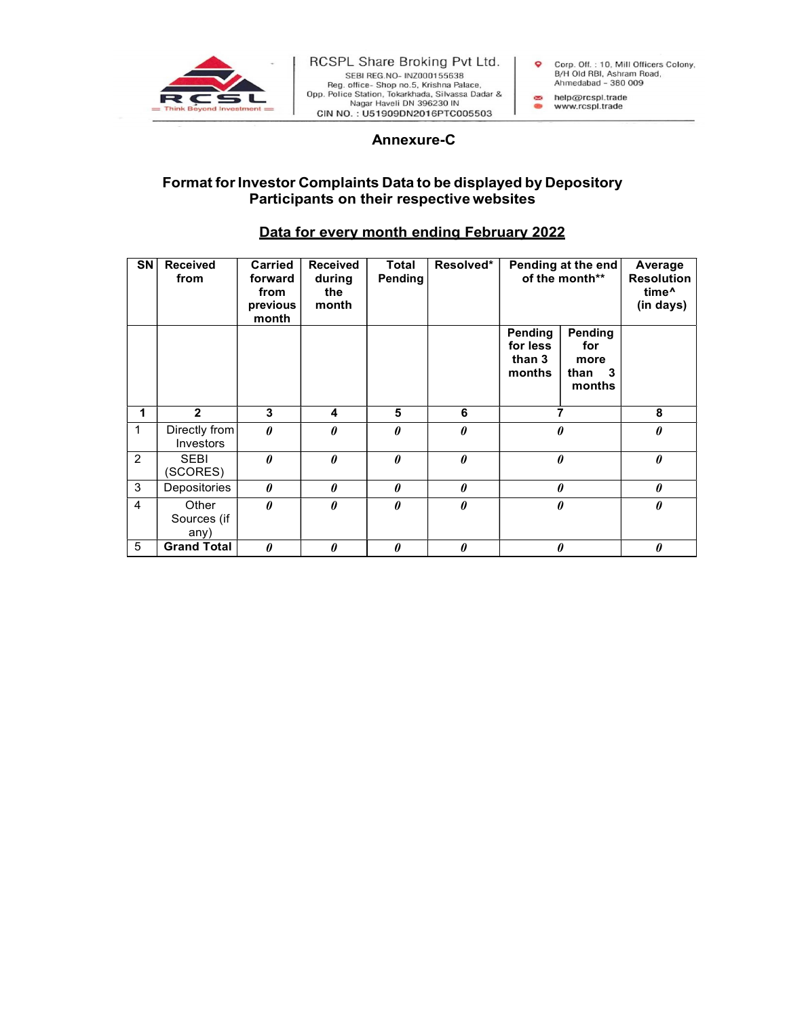

## a non- Tokar Maria Pate 1971<br>
A non- Tokar Maria Pate 2014<br>
Shop no.5, Krishna Pate 2014<br>
Shop non, Tokar Mada, Silvassa Dadar &<br>
Ahmedabad - 380 009<br>
Haveli DN 396230 IN<br>
Annexure-C<br>
S Data to be displayed by Depository<br> Format for Investor Complaints Data to be displayed by Depository Participants on their respective websites

## Data for every month ending February 2022

| SN | <b>Received</b><br>from      | <b>Carried</b><br>forward<br>from<br>previous<br>month | <b>Received</b><br>during<br>the<br>month | <b>Total</b><br>Pending | Resolved*             | Pending at the end<br>of the month**    |                                            | Average<br><b>Resolution</b><br>time <sup>^</sup><br>(in days) |
|----|------------------------------|--------------------------------------------------------|-------------------------------------------|-------------------------|-----------------------|-----------------------------------------|--------------------------------------------|----------------------------------------------------------------|
|    |                              |                                                        |                                           |                         |                       | Pending<br>for less<br>than 3<br>months | Pending<br>for<br>more<br>than 3<br>months |                                                                |
|    | $\overline{2}$               | 3                                                      | 4                                         | 5                       | 6                     |                                         | $\overline{\phantom{a}}$                   | 8                                                              |
| 1  | Directly from<br>Investors   | $\theta$                                               | $\theta$                                  | 0                       | $\boldsymbol{\theta}$ | 0                                       |                                            | $\boldsymbol{\theta}$                                          |
| 2  | <b>SEBI</b><br>(SCORES)      | $\theta$                                               | $\theta$                                  | $\theta$                | $\theta$              | $\theta$                                |                                            | $\theta$                                                       |
| 3  | Depositories                 | $\theta$                                               | $\theta$                                  | 0                       | $\pmb{\theta}$        | $\pmb{\theta}$                          |                                            | $\boldsymbol{\theta}$                                          |
| 4  | Other<br>Sources (if<br>any) | $\theta$                                               | $\theta$                                  | $\theta$                | $\theta$              | $\pmb{\theta}$                          |                                            | $\boldsymbol{\theta}$                                          |
| 5  | <b>Grand Total</b>           | $\boldsymbol{\theta}$                                  | 0                                         | 0                       | $\boldsymbol{\theta}$ | 0                                       |                                            | $\boldsymbol{\theta}$                                          |